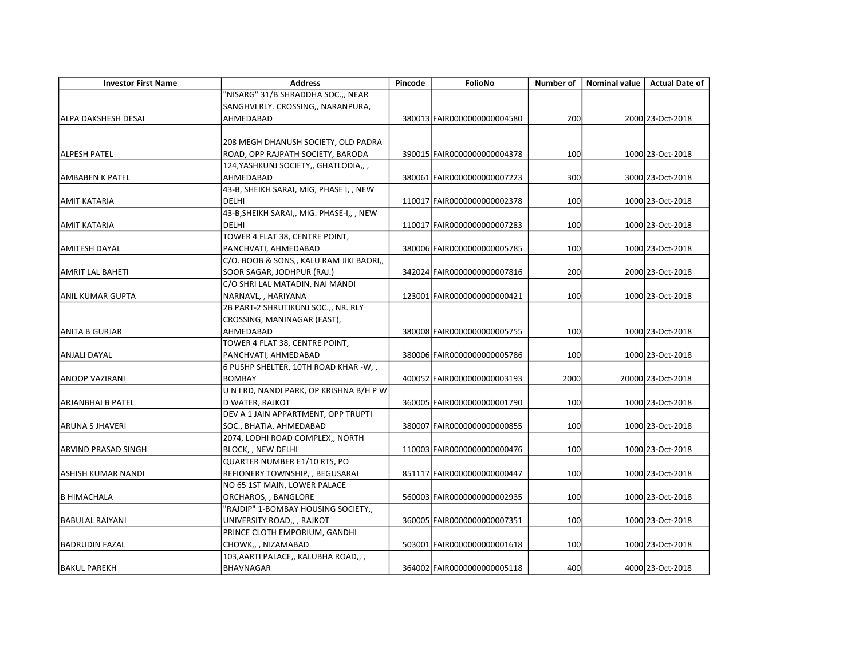| <b>Investor First Name</b> | <b>Address</b>                            | Pincode | FolioNo                      | Number of | <b>Nominal value</b> | <b>Actual Date of</b> |
|----------------------------|-------------------------------------------|---------|------------------------------|-----------|----------------------|-----------------------|
|                            | "NISARG" 31/B SHRADDHA SOC.,, NEAR        |         |                              |           |                      |                       |
|                            | SANGHVI RLY. CROSSING,, NARANPURA,        |         |                              |           |                      |                       |
| <b>ALPA DAKSHESH DESAI</b> | AHMEDABAD                                 |         | 380013 FAIR0000000000004580  | 200       |                      | 2000 23-Oct-2018      |
|                            |                                           |         |                              |           |                      |                       |
|                            | 208 MEGH DHANUSH SOCIETY, OLD PADRA       |         |                              |           |                      |                       |
| ALPESH PATEL               | ROAD, OPP RAJPATH SOCIETY, BARODA         |         | 390015 FAIR0000000000004378  | 100       |                      | 1000 23-Oct-2018      |
|                            | 124, YASHKUNJ SOCIETY,, GHATLODIA,,,      |         |                              |           |                      |                       |
| AMBABEN K PATEL            | AHMEDABAD                                 |         | 380061 FAIR0000000000007223  | 300       |                      | 3000 23-Oct-2018      |
|                            | 43-B, SHEIKH SARAI, MIG, PHASE I, , NEW   |         |                              |           |                      |                       |
| <b>AMIT KATARIA</b>        | <b>DELHI</b>                              |         | 110017 FAIR0000000000002378  | 100       |                      | 1000 23-Oct-2018      |
|                            | 43-B, SHEIKH SARAI,, MIG. PHASE-I,, , NEW |         |                              |           |                      |                       |
| <b>AMIT KATARIA</b>        | <b>DELHI</b>                              |         | 110017 FAIR0000000000007283  | 100       |                      | 1000 23-Oct-2018      |
|                            | TOWER 4 FLAT 38, CENTRE POINT,            |         |                              |           |                      |                       |
| <b>AMITESH DAYAL</b>       | PANCHVATI, AHMEDABAD                      |         | 380006 FAIR0000000000005785  | 100       |                      | 1000 23-Oct-2018      |
|                            | C/O. BOOB & SONS,, KALU RAM JIKI BAORI,,  |         |                              |           |                      |                       |
| AMRIT LAL BAHETI           | SOOR SAGAR, JODHPUR (RAJ.)                |         | 342024 FAIR0000000000007816  | 200       |                      | 2000 23-Oct-2018      |
|                            | C/O SHRI LAL MATADIN, NAI MANDI           |         |                              |           |                      |                       |
| <b>ANIL KUMAR GUPTA</b>    | NARNAVL, , HARIYANA                       |         | 123001 FAIR0000000000000421  | 100       |                      | 1000 23-Oct-2018      |
|                            | 2B PART-2 SHRUTIKUNJ SOC.,, NR. RLY       |         |                              |           |                      |                       |
|                            | CROSSING, MANINAGAR (EAST),               |         |                              |           |                      |                       |
| <b>ANITA B GURJAR</b>      | AHMEDABAD                                 |         | 380008 FAIR0000000000005755  | 100       |                      | 1000 23-Oct-2018      |
|                            | TOWER 4 FLAT 38, CENTRE POINT,            |         |                              |           |                      |                       |
| ANJALI DAYAL               | PANCHVATI, AHMEDABAD                      |         | 380006 FAIR0000000000005786  | 100       |                      | 1000 23-Oct-2018      |
|                            | 6 PUSHP SHELTER, 10TH ROAD KHAR -W, ,     |         |                              |           |                      |                       |
| <b>ANOOP VAZIRANI</b>      | <b>BOMBAY</b>                             |         | 4000521FAIR00000000000003193 | 2000      |                      | 20000 23-Oct-2018     |
|                            | UNIRD, NANDI PARK, OP KRISHNA B/H P W     |         |                              |           |                      |                       |
| <b>ARJANBHAI B PATEL</b>   | D WATER, RAJKOT                           |         | 360005 FAIR00000000000001790 | 100       |                      | 1000 23-Oct-2018      |
|                            | DEV A 1 JAIN APPARTMENT, OPP TRUPTI       |         |                              |           |                      |                       |
| <b>ARUNA S JHAVERI</b>     | SOC., BHATIA, AHMEDABAD                   |         | 380007 FAIR0000000000000855  | 100       |                      | 1000 23-Oct-2018      |
|                            | 2074, LODHI ROAD COMPLEX,, NORTH          |         |                              |           |                      |                       |
| ARVIND PRASAD SINGH        | BLOCK, , NEW DELHI                        |         | 110003 FAIR0000000000000476  | 100       |                      | 1000 23-Oct-2018      |
|                            | QUARTER NUMBER E1/10 RTS, PO              |         |                              |           |                      |                       |
| ASHISH KUMAR NANDI         | REFIONERY TOWNSHIP, , BEGUSARAI           |         | 851117 FAIR0000000000000447  | 100       |                      | 1000 23-Oct-2018      |
|                            | NO 65 1ST MAIN, LOWER PALACE              |         |                              |           |                      |                       |
| <b>B HIMACHALA</b>         | ORCHAROS, , BANGLORE                      |         | 560003 FAIR0000000000002935  | 100       |                      | 1000 23-Oct-2018      |
|                            | "RAJDIP" 1-BOMBAY HOUSING SOCIETY,,       |         |                              |           |                      |                       |
| <b>BABULAL RAIYANI</b>     | UNIVERSITY ROAD,, , RAJKOT                |         | 360005 FAIR0000000000007351  | 100       |                      | 1000 23-Oct-2018      |
|                            | PRINCE CLOTH EMPORIUM, GANDHI             |         |                              |           |                      |                       |
| <b>BADRUDIN FAZAL</b>      | CHOWK,, , NIZAMABAD                       |         | 503001 FAIR00000000000001618 | 100       |                      | 1000 23-Oct-2018      |
|                            | 103, AARTI PALACE,, KALUBHA ROAD,,,       |         |                              |           |                      |                       |
| BAKUL PAREKH               | BHAVNAGAR                                 |         | 364002 FAIR0000000000005118  | 400       |                      | 4000 23-Oct-2018      |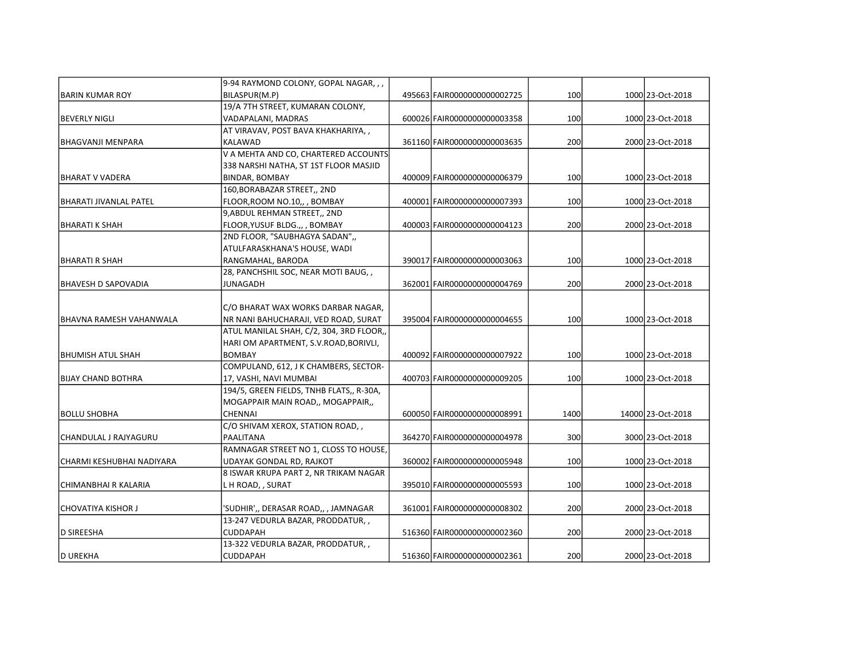|                            | 9-94 RAYMOND COLONY, GOPAL NAGAR,,,      |                              |      |                   |
|----------------------------|------------------------------------------|------------------------------|------|-------------------|
| IBARIN KUMAR ROY           | BILASPUR(M.P)                            | 495663 FAIR0000000000002725  | 100  | 1000 23-Oct-2018  |
|                            | 19/A 7TH STREET, KUMARAN COLONY,         |                              |      |                   |
| BEVERLY NIGLI              | VADAPALANI, MADRAS                       | 600026 FAIR0000000000003358  | 100  | 1000 23-Oct-2018  |
|                            | AT VIRAVAV, POST BAVA KHAKHARIYA,,       |                              |      |                   |
| IBHAGVANJI MENPARA         | <b>KALAWAD</b>                           | 361160 FAIR0000000000003635  | 200  | 2000 23-Oct-2018  |
|                            | V A MEHTA AND CO, CHARTERED ACCOUNTS     |                              |      |                   |
|                            | 338 NARSHI NATHA, ST 1ST FLOOR MASJID    |                              |      |                   |
| IBHARAT V VADERA           | BINDAR, BOMBAY                           | 4000091FAIR00000000000006379 | 100  | 1000 23-Oct-2018  |
|                            | 160, BORABAZAR STREET,, 2ND              |                              |      |                   |
| İBHARATI JIVANLAL PATEL    | FLOOR, ROOM NO.10,, , BOMBAY             | 400001 FAIR0000000000007393  | 100  | 1000 23-Oct-2018  |
|                            | 9, ABDUL REHMAN STREET,, 2ND             |                              |      |                   |
| BHARATI K SHAH             | FLOOR, YUSUF BLDG.,, , BOMBAY            | 400003 FAIR00000000000004123 | 200  | 2000 23-Oct-2018  |
|                            | 2ND FLOOR, "SAUBHAGYA SADAN",,           |                              |      |                   |
|                            | ATULFARASKHANA'S HOUSE, WADI             |                              |      |                   |
| IBHARATI R SHAH            | RANGMAHAL, BARODA                        | 390017 FAIR0000000000003063  | 100  | 1000 23-Oct-2018  |
|                            | 28, PANCHSHIL SOC, NEAR MOTI BAUG, ,     |                              |      |                   |
| BHAVESH D SAPOVADIA        | JUNAGADH                                 | 362001 FAIR00000000000004769 | 200  | 2000 23-Oct-2018  |
|                            |                                          |                              |      |                   |
|                            | C/O BHARAT WAX WORKS DARBAR NAGAR,       |                              |      |                   |
| IBHAVNA RAMESH VAHANWALA   | NR NANI BAHUCHARAJI, VED ROAD, SURAT     | 395004 FAIR0000000000004655  | 100  | 1000 23-Oct-2018  |
|                            | ATUL MANILAL SHAH, C/2, 304, 3RD FLOOR,, |                              |      |                   |
|                            | HARI OM APARTMENT, S.V.ROAD,BORIVLI,     |                              |      |                   |
| BHUMISH ATUL SHAH          | <b>BOMBAY</b>                            | 400092 FAIR0000000000007922  | 100  | 1000 23-Oct-2018  |
|                            | COMPULAND, 612, J K CHAMBERS, SECTOR-    |                              |      |                   |
| IBIJAY CHAND BOTHRA        | 17, VASHI, NAVI MUMBAI                   | 400703 FAIR0000000000009205  | 100  | 1000 23-Oct-2018  |
|                            | 194/5, GREEN FIELDS, TNHB FLATS,, R-30A, |                              |      |                   |
|                            | MOGAPPAIR MAIN ROAD,, MOGAPPAIR,,        |                              |      |                   |
| BOLLU SHOBHA               | <b>CHENNAI</b>                           | 600050 FAIR00000000000008991 | 1400 | 14000 23-Oct-2018 |
|                            | C/O SHIVAM XEROX, STATION ROAD,,         |                              |      |                   |
| CHANDULAL J RAJYAGURU      | PAALITANA                                | 364270 FAIR00000000000004978 | 300  | 3000 23-Oct-2018  |
|                            | RAMNAGAR STREET NO 1, CLOSS TO HOUSE,    |                              |      |                   |
| İCHARMI KESHUBHAI NADIYARA | UDAYAK GONDAL RD, RAJKOT                 | 360002 FAIR00000000000005948 | 100  | 1000 23-Oct-2018  |
|                            | 8 ISWAR KRUPA PART 2, NR TRIKAM NAGAR    |                              |      |                   |
| CHIMANBHAI R KALARIA       | L H ROAD, , SURAT                        | 395010 FAIR00000000000005593 | 100  | 1000 23-Oct-2018  |
|                            |                                          |                              |      |                   |
| CHOVATIYA KISHOR J         | 'SUDHIR',, DERASAR ROAD,, , JAMNAGAR     | 361001 FAIR0000000000008302  | 200  | 2000 23-Oct-2018  |
|                            | 13-247 VEDURLA BAZAR, PRODDATUR,,        |                              |      |                   |
| <b>D SIREESHA</b>          | <b>CUDDAPAH</b>                          | 516360 FAIR0000000000002360  | 200  | 2000 23-Oct-2018  |
|                            | 13-322 VEDURLA BAZAR, PRODDATUR,,        |                              |      |                   |
| <b>D UREKHA</b>            | <b>CUDDAPAH</b>                          | 516360 FAIR0000000000002361  | 200  | 2000 23-Oct-2018  |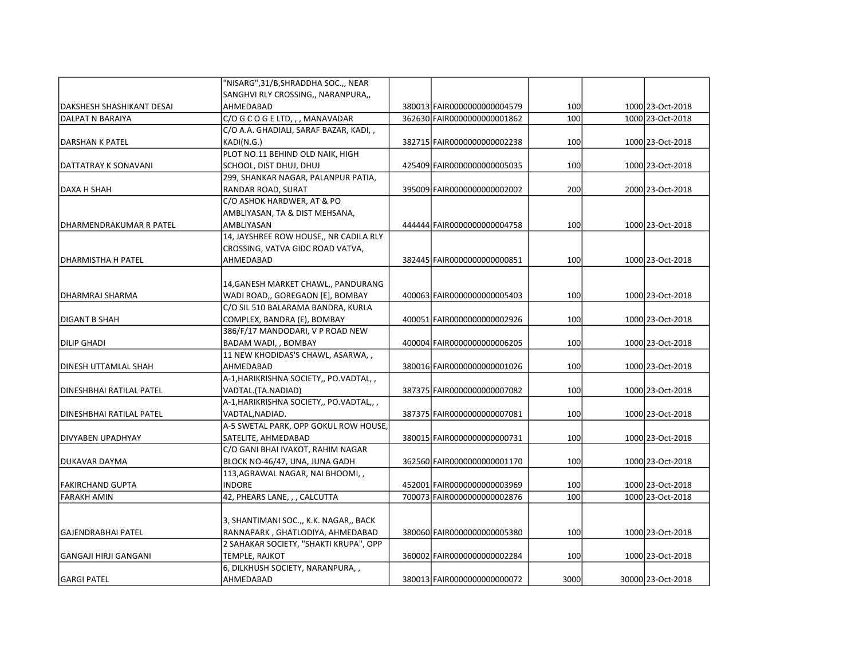|                           | "NISARG",31/B,SHRADDHA SOC.,, NEAR       |                             |      |                   |
|---------------------------|------------------------------------------|-----------------------------|------|-------------------|
|                           | SANGHVI RLY CROSSING,, NARANPURA,,       |                             |      |                   |
| DAKSHESH SHASHIKANT DESAI | AHMEDABAD                                | 380013 FAIR0000000000004579 | 100  | 1000 23-Oct-2018  |
| DALPAT N BARAIYA          | C/O G C O G E LTD, , , MANAVADAR         | 362630 FAIR0000000000001862 | 100  | 1000 23-Oct-2018  |
|                           | C/O A.A. GHADIALI, SARAF BAZAR, KADI, ,  |                             |      |                   |
| DARSHAN K PATEL           | KADI(N.G.)                               | 382715 FAIR0000000000002238 | 100  | 1000 23-Oct-2018  |
|                           | PLOT NO.11 BEHIND OLD NAIK, HIGH         |                             |      |                   |
| DATTATRAY K SONAVANI      | SCHOOL, DIST DHUJ, DHUJ                  | 425409 FAIR0000000000005035 | 100  | 1000 23-Oct-2018  |
|                           | 299, SHANKAR NAGAR, PALANPUR PATIA,      |                             |      |                   |
| DAXA H SHAH               | RANDAR ROAD, SURAT                       | 395009 FAIR0000000000002002 | 200  | 2000 23-Oct-2018  |
|                           | C/O ASHOK HARDWER, AT & PO               |                             |      |                   |
|                           | AMBLIYASAN, TA & DIST MEHSANA,           |                             |      |                   |
| DHARMENDRAKUMAR R PATEL   | AMBLIYASAN                               | 444444 FAIR0000000000004758 | 100  | 1000 23-Oct-2018  |
|                           | 14, JAYSHREE ROW HOUSE,, NR CADILA RLY   |                             |      |                   |
|                           | CROSSING, VATVA GIDC ROAD VATVA,         |                             |      |                   |
| DHARMISTHA H PATEL        | AHMEDABAD                                | 382445 FAIR0000000000000851 | 100  | 1000 23-Oct-2018  |
|                           |                                          |                             |      |                   |
|                           | 14, GANESH MARKET CHAWL, PANDURANG       |                             |      |                   |
| DHARMRAJ SHARMA           | WADI ROAD,, GOREGAON [E], BOMBAY         | 400063 FAIR0000000000005403 | 100  | 1000 23-Oct-2018  |
|                           | C/O SIL 510 BALARAMA BANDRA, KURLA       |                             |      |                   |
| IDIGANT B SHAH            | COMPLEX, BANDRA (E), BOMBAY              | 400051 FAIR0000000000002926 | 100  | 1000 23-Oct-2018  |
|                           | 386/F/17 MANDODARI, V P ROAD NEW         |                             |      |                   |
| DILIP GHADI               | BADAM WADI, , BOMBAY                     | 400004 FAIR0000000000006205 | 100  | 1000 23-Oct-2018  |
|                           | 11 NEW KHODIDAS'S CHAWL, ASARWA,,        |                             |      |                   |
| DINESH UTTAMLAL SHAH      | AHMEDABAD                                | 380016 FAIR0000000000001026 | 100  | 1000 23-Oct-2018  |
|                           | A-1, HARIKRISHNA SOCIETY,, PO. VADTAL,,  |                             |      |                   |
| DINESHBHAI RATILAL PATEL  | VADTAL.(TA.NADIAD)                       | 387375 FAIR0000000000007082 | 100  | 1000 23-Oct-2018  |
|                           | A-1, HARIKRISHNA SOCIETY,, PO.VADTAL,, , |                             |      |                   |
| İDINESHBHAI RATILAL PATEL | VADTAL, NADIAD.                          | 387375 FAIR0000000000007081 | 100  | 1000 23-Oct-2018  |
|                           | A-5 SWETAL PARK, OPP GOKUL ROW HOUSE,    |                             |      |                   |
| DIVYABEN UPADHYAY         | SATELITE, AHMEDABAD                      | 380015 FAIR0000000000000731 | 100  | 1000 23-Oct-2018  |
|                           | C/O GANI BHAI IVAKOT, RAHIM NAGAR        |                             |      |                   |
| IDUKAVAR DAYMA            | BLOCK NO-46/47, UNA, JUNA GADH           | 362560 FAIR0000000000001170 | 100  | 1000 23-Oct-2018  |
|                           | 113, AGRAWAL NAGAR, NAI BHOOMI, ,        |                             |      |                   |
| FAKIRCHAND GUPTA          | <b>INDORE</b>                            | 452001 FAIR0000000000003969 | 100  | 1000 23-Oct-2018  |
| <b>FARAKH AMIN</b>        | 42, PHEARS LANE, , , CALCUTTA            | 700073 FAIR0000000000002876 | 100  | 1000 23-Oct-2018  |
|                           |                                          |                             |      |                   |
|                           | 3, SHANTIMANI SOC.,, K.K. NAGAR,, BACK   |                             |      |                   |
| lGAJENDRABHAI PATEL       | RANNAPARK, GHATLODIYA, AHMEDABAD         | 380060 FAIR0000000000005380 | 100  | 1000 23-Oct-2018  |
|                           | 2 SAHAKAR SOCIETY, "SHAKTI KRUPA", OPP   |                             |      |                   |
| GANGAJI HIRJI GANGANI     | TEMPLE, RAJKOT                           | 360002 FAIR0000000000002284 | 100  | 1000 23-Oct-2018  |
|                           | 6, DILKHUSH SOCIETY, NARANPURA,,         |                             |      |                   |
|                           |                                          |                             |      |                   |
| IGARGI PATEL              | AHMEDABAD                                | 380013 FAIR0000000000000072 | 3000 | 30000 23-Oct-2018 |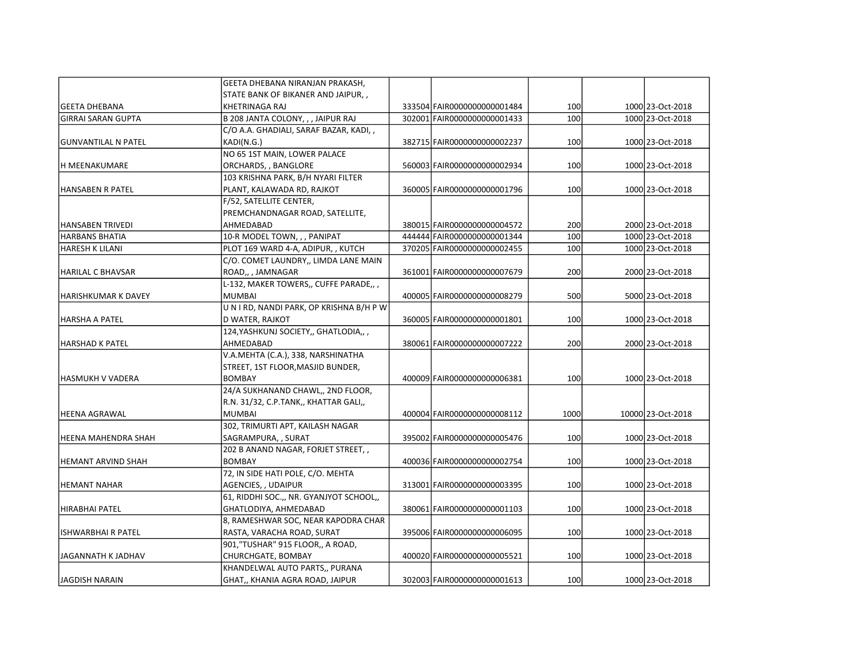|                            | GEETA DHEBANA NIRANJAN PRAKASH,         |                              |      |                   |
|----------------------------|-----------------------------------------|------------------------------|------|-------------------|
|                            | STATE BANK OF BIKANER AND JAIPUR,,      |                              |      |                   |
| <b>GEETA DHEBANA</b>       | <b>KHETRINAGA RAJ</b>                   | 333504 FAIR0000000000001484  | 100  | 1000 23-Oct-2018  |
| <b>GIRRAI SARAN GUPTA</b>  | B 208 JANTA COLONY, , , JAIPUR RAJ      | 302001 FAIR0000000000001433  | 100  | 1000 23-Oct-2018  |
|                            | C/O A.A. GHADIALI, SARAF BAZAR, KADI, , |                              |      |                   |
| GUNVANTILAL N PATEL        | KADI(N.G.)                              | 382715 FAIR0000000000002237  | 100  | 1000 23-Oct-2018  |
|                            | NO 65 1ST MAIN, LOWER PALACE            |                              |      |                   |
| H MEENAKUMARE              | ORCHARDS, , BANGLORE                    | 560003 FAIR0000000000002934  | 100  | 1000 23-Oct-2018  |
|                            | 103 KRISHNA PARK, B/H NYARI FILTER      |                              |      |                   |
| <b>HANSABEN R PATEL</b>    | PLANT, KALAWADA RD, RAJKOT              | 360005 FAIR0000000000001796  | 100  | 1000 23-Oct-2018  |
|                            | F/52, SATELLITE CENTER,                 |                              |      |                   |
|                            | PREMCHANDNAGAR ROAD, SATELLITE,         |                              |      |                   |
| HANSABEN TRIVEDI           | AHMEDABAD                               | 380015 FAIR0000000000004572  | 200  | 2000 23-Oct-2018  |
| <b>HARBANS BHATIA</b>      | 10-R MODEL TOWN, , , PANIPAT            | 444444 FAIR0000000000001344  | 100  | 1000 23-Oct-2018  |
| <b>HARESH K LILANI</b>     | PLOT 169 WARD 4-A, ADIPUR, , KUTCH      | 370205 FAIR0000000000002455  | 100  | 1000 23-Oct-2018  |
|                            | C/O. COMET LAUNDRY,, LIMDA LANE MAIN    |                              |      |                   |
| <b>HARILAL C BHAVSAR</b>   | ROAD,, , JAMNAGAR                       | 361001 FAIR0000000000007679  | 200  | 2000 23-Oct-2018  |
|                            | L-132, MAKER TOWERS,, CUFFE PARADE,,    |                              |      |                   |
| <b>HARISHKUMAR K DAVEY</b> | <b>MUMBAI</b>                           | 400005 FAIR0000000000008279  | 500  | 5000 23-Oct-2018  |
|                            | UNIRD, NANDI PARK, OP KRISHNA B/H P W   |                              |      |                   |
| HARSHA A PATEL             | D WATER, RAJKOT                         | 360005 FAIR0000000000001801  | 100  | 1000 23-Oct-2018  |
|                            | 124, YASHKUNJ SOCIETY,, GHATLODIA,,     |                              |      |                   |
| HARSHAD K PATEL            | AHMEDABAD                               | 380061 FAIR0000000000007222  | 200  | 2000 23-Oct-2018  |
|                            | V.A.MEHTA (C.A.), 338, NARSHINATHA      |                              |      |                   |
|                            | STREET, 1ST FLOOR, MASJID BUNDER,       |                              |      |                   |
| HASMUKH V VADERA           | <b>BOMBAY</b>                           | 400009 FAIR0000000000006381  | 100  | 1000 23-Oct-2018  |
|                            | 24/A SUKHANAND CHAWL,, 2ND FLOOR,       |                              |      |                   |
|                            | R.N. 31/32, C.P.TANK,, KHATTAR GALI,,   |                              |      |                   |
| HEENA AGRAWAL              | <b>MUMBAI</b>                           | 400004 FAIR0000000000008112  | 1000 | 10000 23-Oct-2018 |
|                            | 302, TRIMURTI APT, KAILASH NAGAR        |                              |      |                   |
| HEENA MAHENDRA SHAH        | SAGRAMPURA, , SURAT                     | 395002 FAIR0000000000005476  | 100  | 1000 23-Oct-2018  |
|                            | 202 B ANAND NAGAR, FORJET STREET,,      |                              |      |                   |
| <b>HEMANT ARVIND SHAH</b>  | <b>BOMBAY</b>                           | 400036 FAIR0000000000002754  | 100  | 1000 23-Oct-2018  |
|                            | 72, IN SIDE HATI POLE, C/O. MEHTA       |                              |      |                   |
| <b>HEMANT NAHAR</b>        | AGENCIES, , UDAIPUR                     | 313001 FAIR0000000000003395  | 100  | 1000 23-Oct-2018  |
|                            | 61, RIDDHI SOC.,, NR. GYANJYOT SCHOOL,, |                              |      |                   |
| İHIRABHAI PATEL            | GHATLODIYA, AHMEDABAD                   | 380061 FAIR0000000000001103  | 100  | 1000 23-Oct-2018  |
|                            | 8, RAMESHWAR SOC, NEAR KAPODRA CHAR     |                              |      |                   |
| ISHWARBHAI R PATEL         | RASTA, VARACHA ROAD, SURAT              | 395006 FAIR0000000000006095  | 100  | 1000 23-Oct-2018  |
|                            | 901,"TUSHAR" 915 FLOOR,, A ROAD,        |                              |      |                   |
| JAGANNATH K JADHAV         | CHURCHGATE, BOMBAY                      | 400020 FAIR0000000000005521  | 100  | 1000 23-Oct-2018  |
|                            | KHANDELWAL AUTO PARTS,, PURANA          |                              |      |                   |
| lJAGDISH NARAIN            | GHAT,, KHANIA AGRA ROAD, JAIPUR         | 302003 FAIR00000000000001613 | 100  | 1000 23-Oct-2018  |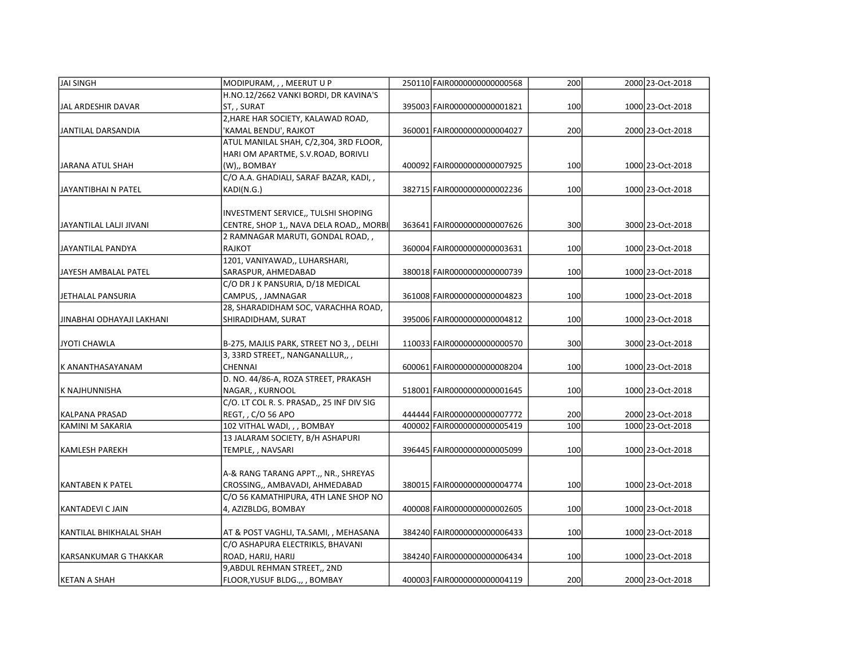| JAI SINGH                 | MODIPURAM, , , MEERUT U P                 | 250110 FAIR0000000000000568 | 200 | 2000 23-Oct-2018 |
|---------------------------|-------------------------------------------|-----------------------------|-----|------------------|
|                           | H.NO.12/2662 VANKI BORDI, DR KAVINA'S     |                             |     |                  |
| JAL ARDESHIR DAVAR        | ST, , SURAT                               | 395003 FAIR0000000000001821 | 100 | 1000 23-Oct-2018 |
|                           | 2, HARE HAR SOCIETY, KALAWAD ROAD,        |                             |     |                  |
| JANTILAL DARSANDIA        | 'KAMAL BENDU', RAJKOT                     | 360001 FAIR0000000000004027 | 200 | 2000 23-Oct-2018 |
|                           | ATUL MANILAL SHAH, C/2,304, 3RD FLOOR,    |                             |     |                  |
|                           | HARI OM APARTME, S.V.ROAD, BORIVLI        |                             |     |                  |
| JARANA ATUL SHAH          | (W),, BOMBAY                              | 400092 FAIR0000000000007925 | 100 | 1000 23-Oct-2018 |
|                           | C/O A.A. GHADIALI, SARAF BAZAR, KADI, ,   |                             |     |                  |
| JAYANTIBHAI N PATEL       | KADI(N.G.)                                | 382715 FAIR0000000000002236 | 100 | 1000 23-Oct-2018 |
|                           |                                           |                             |     |                  |
|                           | INVESTMENT SERVICE,, TULSHI SHOPING       |                             |     |                  |
| JAYANTILAL LALJI JIVANI   | CENTRE, SHOP 1,, NAVA DELA ROAD,, MORBI   | 363641 FAIR0000000000007626 | 300 | 3000 23-Oct-2018 |
|                           | 2 RAMNAGAR MARUTI, GONDAL ROAD,,          |                             |     |                  |
| JAYANTILAL PANDYA         | <b>RAJKOT</b>                             | 360004 FAIR0000000000003631 | 100 | 1000 23-Oct-2018 |
|                           | 1201, VANIYAWAD,, LUHARSHARI,             |                             |     |                  |
| JAYESH AMBALAL PATEL      | SARASPUR, AHMEDABAD                       | 380018 FAIR0000000000000739 | 100 | 1000 23-Oct-2018 |
|                           | C/O DR J K PANSURIA, D/18 MEDICAL         |                             |     |                  |
| JETHALAL PANSURIA         | CAMPUS, , JAMNAGAR                        | 361008 FAIR0000000000004823 | 100 | 1000 23-Oct-2018 |
|                           | 28, SHARADIDHAM SOC, VARACHHA ROAD,       |                             |     |                  |
| JINABHAI ODHAYAJI LAKHANI | SHIRADIDHAM, SURAT                        | 395006 FAIR0000000000004812 | 100 | 1000 23-Oct-2018 |
| JYOTI CHAWLA              | B-275, MAJLIS PARK, STREET NO 3, , DELHI  | 110033 FAIR0000000000000570 | 300 | 3000 23-Oct-2018 |
|                           | 3, 33RD STREET,, NANGANALLUR,,,           |                             |     |                  |
| lK ANANTHASAYANAM         | <b>CHENNAI</b>                            | 600061 FAIR0000000000008204 | 100 | 1000 23-Oct-2018 |
|                           | D. NO. 44/86-A, ROZA STREET, PRAKASH      |                             |     |                  |
| K NAJHUNNISHA             | NAGAR, , KURNOOL                          | 518001 FAIR0000000000001645 | 100 | 1000 23-Oct-2018 |
|                           | C/O. LT COL R. S. PRASAD,, 25 INF DIV SIG |                             |     |                  |
| KALPANA PRASAD            | REGT, , C/O 56 APO                        | 444444 FAIR0000000000007772 | 200 | 2000 23-Oct-2018 |
| KAMINI M SAKARIA          | 102 VITHAL WADI, , , BOMBAY               | 400002 FAIR0000000000005419 | 100 | 1000 23-Oct-2018 |
|                           | 13 JALARAM SOCIETY, B/H ASHAPURI          |                             |     |                  |
| <b>KAMLESH PAREKH</b>     | TEMPLE, , NAVSARI                         | 396445 FAIR0000000000005099 | 100 | 1000 23-Oct-2018 |
|                           |                                           |                             |     |                  |
|                           | A-& RANG TARANG APPT.,, NR., SHREYAS      |                             |     |                  |
| KANTABEN K PATEL          | CROSSING,, AMBAVADI, AHMEDABAD            | 380015 FAIR0000000000004774 | 100 | 1000 23-Oct-2018 |
|                           | C/O 56 KAMATHIPURA, 4TH LANE SHOP NO      |                             |     |                  |
| KANTADEVI C JAIN          | 4, AZIZBLDG, BOMBAY                       | 400008 FAIR0000000000002605 | 100 | 1000 23-Oct-2018 |
|                           |                                           |                             |     |                  |
| KANTILAL BHIKHALAL SHAH   | AT & POST VAGHLI, TA.SAMI, , MEHASANA     | 384240 FAIR0000000000006433 | 100 | 1000 23-Oct-2018 |
|                           | C/O ASHAPURA ELECTRIKLS, BHAVANI          |                             |     |                  |
| KARSANKUMAR G THAKKAR     | ROAD, HARIJ, HARIJ                        | 384240 FAIR0000000000006434 | 100 | 1000 23-Oct-2018 |
|                           | 9, ABDUL REHMAN STREET,, 2ND              |                             |     |                  |
| KETAN A SHAH              | FLOOR, YUSUF BLDG.,, , BOMBAY             | 400003 FAIR0000000000004119 | 200 | 2000 23-Oct-2018 |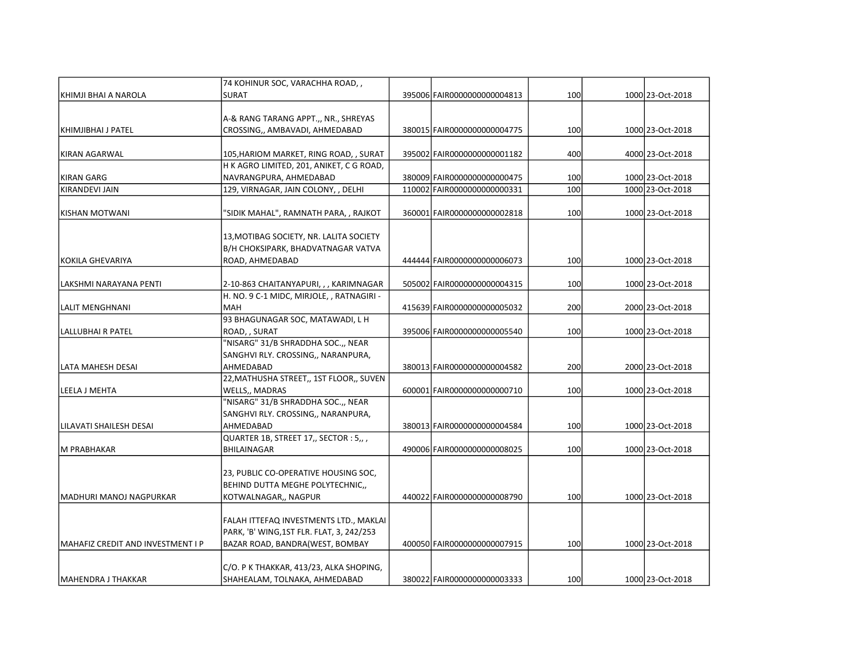|                                   | 74 KOHINUR SOC, VARACHHA ROAD,,           |                              |     |                  |
|-----------------------------------|-------------------------------------------|------------------------------|-----|------------------|
| KHIMJI BHAI A NAROLA              | <b>SURAT</b>                              | 395006 FAIR0000000000004813  | 100 | 1000 23-Oct-2018 |
|                                   |                                           |                              |     |                  |
|                                   | A-& RANG TARANG APPT.,, NR., SHREYAS      |                              |     |                  |
| IKHIMJIBHAI J PATEL               | CROSSING,, AMBAVADI, AHMEDABAD            | 380015 FAIR0000000000004775  | 100 | 1000 23-Oct-2018 |
| KIRAN AGARWAL                     | 105, HARIOM MARKET, RING ROAD, , SURAT    | 395002 FAIR0000000000001182  | 400 | 4000 23-Oct-2018 |
|                                   | H K AGRO LIMITED, 201, ANIKET, C G ROAD,  |                              |     |                  |
| <b>KIRAN GARG</b>                 | NAVRANGPURA, AHMEDABAD                    | 380009 FAIR0000000000000475  | 100 | 1000 23-Oct-2018 |
| KIRANDEVI JAIN                    | 129, VIRNAGAR, JAIN COLONY, , DELHI       | 110002 FAIR0000000000000331  | 100 | 1000 23-Oct-2018 |
|                                   |                                           |                              |     |                  |
| KISHAN MOTWANI                    | 'SIDIK MAHAL", RAMNATH PARA, , RAJKOT     | 360001 FAIR0000000000002818  | 100 | 1000 23-Oct-2018 |
|                                   | 13, MOTIBAG SOCIETY, NR. LALITA SOCIETY   |                              |     |                  |
|                                   | B/H CHOKSIPARK, BHADVATNAGAR VATVA        |                              |     |                  |
| KOKILA GHEVARIYA                  | ROAD, AHMEDABAD                           | 444444 FAIR0000000000006073  | 100 | 1000 23-Oct-2018 |
|                                   |                                           |                              |     |                  |
| LAKSHMI NARAYANA PENTI            | 2-10-863 CHAITANYAPURI, , , KARIMNAGAR    | 505002 FAIR0000000000004315  | 100 | 1000 23-Oct-2018 |
|                                   | H. NO. 9 C-1 MIDC, MIRJOLE, , RATNAGIRI - |                              |     |                  |
| LALIT MENGHNANI                   | <b>MAH</b>                                | 415639 FAIR0000000000005032  | 200 | 2000 23-Oct-2018 |
|                                   | 93 BHAGUNAGAR SOC, MATAWADI, L H          |                              |     |                  |
| LALLUBHAI R PATEL                 | ROAD, , SURAT                             | 395006 FAIR0000000000005540  | 100 | 1000 23-Oct-2018 |
|                                   | "NISARG" 31/B SHRADDHA SOC.,, NEAR        |                              |     |                  |
|                                   | SANGHVI RLY. CROSSING,, NARANPURA,        |                              |     |                  |
| LATA MAHESH DESAI                 | AHMEDABAD                                 | 380013 FAIR0000000000004582  | 200 | 2000 23-Oct-2018 |
|                                   | 22, MATHUSHA STREET,, 1ST FLOOR,, SUVEN   |                              |     |                  |
| LEELA J MEHTA                     | WELLS,, MADRAS                            | 600001 FAIR0000000000000710  | 100 | 1000 23-Oct-2018 |
|                                   | "NISARG" 31/B SHRADDHA SOC.,, NEAR        |                              |     |                  |
|                                   | SANGHVI RLY. CROSSING,, NARANPURA,        |                              |     |                  |
| llilavati shailesh Desai          | AHMEDABAD                                 | 380013 FAIR0000000000004584  | 100 | 1000 23-Oct-2018 |
|                                   | QUARTER 1B, STREET 17,, SECTOR : 5,, ,    |                              |     |                  |
| M PRABHAKAR                       | <b>BHILAINAGAR</b>                        | 490006 FAIR00000000000008025 | 100 | 1000 23-Oct-2018 |
|                                   | 23, PUBLIC CO-OPERATIVE HOUSING SOC,      |                              |     |                  |
|                                   | BEHIND DUTTA MEGHE POLYTECHNIC,,          |                              |     |                  |
| lMADHURI MANOJ NAGPURKAR          | KOTWALNAGAR,, NAGPUR                      | 440022 FAIR0000000000008790  | 100 | 1000 23-Oct-2018 |
|                                   |                                           |                              |     |                  |
|                                   | FALAH ITTEFAQ INVESTMENTS LTD., MAKLAI    |                              |     |                  |
|                                   | PARK, 'B' WING,1ST FLR. FLAT, 3, 242/253  |                              |     |                  |
| MAHAFIZ CREDIT AND INVESTMENT I P | BAZAR ROAD, BANDRA(WEST, BOMBAY           | 400050 FAIR0000000000007915  | 100 | 1000 23-Oct-2018 |
|                                   |                                           |                              |     |                  |
|                                   | C/O. P K THAKKAR, 413/23, ALKA SHOPING,   |                              |     |                  |
| lMAHENDRA J THAKKAR               | SHAHEALAM, TOLNAKA, AHMEDABAD             | 380022 FAIR0000000000003333  | 100 | 1000 23-Oct-2018 |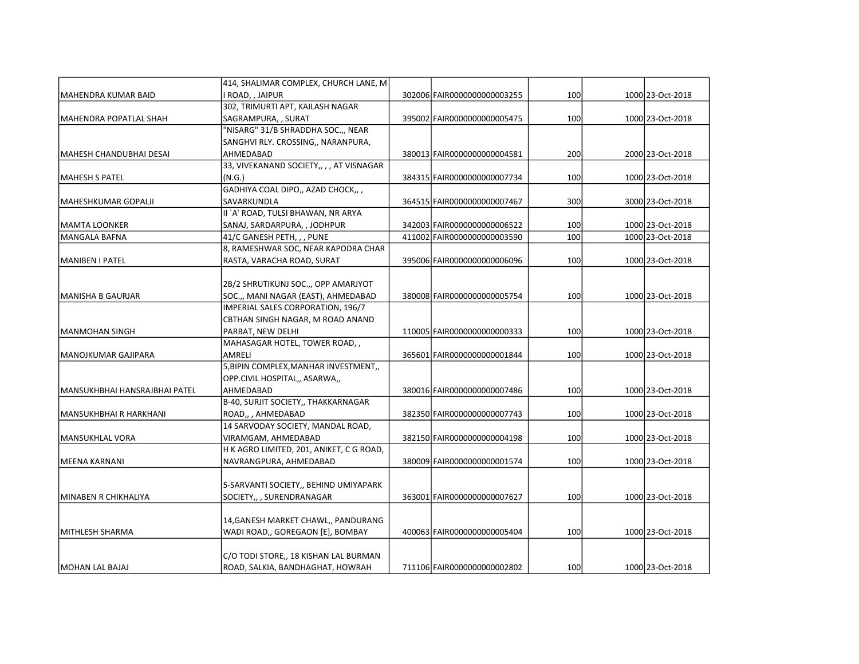|                               | 414, SHALIMAR COMPLEX, CHURCH LANE, M    |                              |     |                  |
|-------------------------------|------------------------------------------|------------------------------|-----|------------------|
| MAHENDRA KUMAR BAID           | I ROAD, , JAIPUR                         | 302006 FAIR0000000000003255  | 100 | 1000 23-Oct-2018 |
|                               | 302, TRIMURTI APT, KAILASH NAGAR         |                              |     |                  |
| MAHENDRA POPATLAL SHAH        | SAGRAMPURA, , SURAT                      | 395002 FAIR0000000000005475  | 100 | 1000 23-Oct-2018 |
|                               | "NISARG" 31/B SHRADDHA SOC.,, NEAR       |                              |     |                  |
|                               | SANGHVI RLY. CROSSING,, NARANPURA,       |                              |     |                  |
| MAHESH CHANDUBHAI DESAI       | AHMEDABAD                                | 380013 FAIR0000000000004581  | 200 | 2000 23-Oct-2018 |
|                               | 33, VIVEKANAND SOCIETY,, , , AT VISNAGAR |                              |     |                  |
| MAHESH S PATEL                | (N.G.)                                   | 384315 FAIR0000000000007734  | 100 | 1000 23-Oct-2018 |
|                               | GADHIYA COAL DIPO,, AZAD CHOCK,,,        |                              |     |                  |
| MAHESHKUMAR GOPALJI           | SAVARKUNDLA                              | 364515 FAIR0000000000007467  | 300 | 3000 23-Oct-2018 |
|                               | II `A' ROAD, TULSI BHAWAN, NR ARYA       |                              |     |                  |
| MAMTA LOONKER                 | SANAJ, SARDARPURA, , JODHPUR             | 342003 FAIR0000000000006522  | 100 | 1000 23-Oct-2018 |
| <b>MANGALA BAFNA</b>          | 41/C GANESH PETH, , , PUNE               | 411002 FAIR0000000000003590  | 100 | 1000 23-Oct-2018 |
|                               | 8, RAMESHWAR SOC, NEAR KAPODRA CHAR      |                              |     |                  |
| MANIBEN I PATEL               | RASTA, VARACHA ROAD, SURAT               | 395006 FAIR0000000000006096  | 100 | 1000 23-Oct-2018 |
|                               |                                          |                              |     |                  |
|                               | 2B/2 SHRUTIKUNJ SOC.,, OPP AMARJYOT      |                              |     |                  |
| MANISHA B GAURJAR             | SOC.,, MANI NAGAR (EAST), AHMEDABAD      | 380008 FAIR0000000000005754  | 100 | 1000 23-Oct-2018 |
|                               | IMPERIAL SALES CORPORATION, 196/7        |                              |     |                  |
|                               | CBTHAN SINGH NAGAR, M ROAD ANAND         |                              |     |                  |
| MANMOHAN SINGH                | PARBAT, NEW DELHI                        | 110005 FAIR0000000000000333  | 100 | 1000 23-Oct-2018 |
|                               | MAHASAGAR HOTEL, TOWER ROAD,,            |                              |     |                  |
| MANOJKUMAR GAJIPARA           | AMRELI                                   | 365601 FAIR0000000000001844  | 100 | 1000 23-Oct-2018 |
|                               | 5, BIPIN COMPLEX, MANHAR INVESTMENT,     |                              |     |                  |
|                               | OPP.CIVIL HOSPITAL,, ASARWA,,            |                              |     |                  |
| MANSUKHBHAI HANSRAJBHAI PATEL | AHMEDABAD                                | 380016 FAIR0000000000007486  | 100 | 1000 23-Oct-2018 |
|                               | B-40, SURJIT SOCIETY,, THAKKARNAGAR      |                              |     |                  |
| MANSUKHBHAI R HARKHANI        | ROAD,, AHMEDABAD                         | 382350 FAIR0000000000007743  | 100 | 1000 23-Oct-2018 |
|                               | 14 SARVODAY SOCIETY, MANDAL ROAD,        |                              |     |                  |
| MANSUKHLAL VORA               | VIRAMGAM, AHMEDABAD                      | 382150 FAIR00000000000004198 | 100 | 1000 23-Oct-2018 |
|                               | H K AGRO LIMITED, 201, ANIKET, C G ROAD, |                              |     |                  |
| MEENA KARNANI                 | NAVRANGPURA, AHMEDABAD                   | 380009 FAIR00000000000001574 | 100 | 1000 23-Oct-2018 |
|                               |                                          |                              |     |                  |
|                               | 5-SARVANTI SOCIETY,, BEHIND UMIYAPARK    |                              |     |                  |
| İMINABEN R CHIKHALIYA         | SOCIETY,, , SURENDRANAGAR                | 363001 FAIR0000000000007627  | 100 | 1000 23-Oct-2018 |
|                               |                                          |                              |     |                  |
|                               | 14, GANESH MARKET CHAWL,, PANDURANG      |                              |     |                  |
| MITHLESH SHARMA               | WADI ROAD,, GOREGAON [E], BOMBAY         | 400063 FAIR0000000000005404  | 100 | 1000 23-Oct-2018 |
|                               |                                          |                              |     |                  |
|                               | C/O TODI STORE,, 18 KISHAN LAL BURMAN    |                              |     |                  |
| IMOHAN LAL BAJAJ              | ROAD, SALKIA, BANDHAGHAT, HOWRAH         | 711106 FAIR0000000000002802  | 100 | 1000 23-Oct-2018 |
|                               |                                          |                              |     |                  |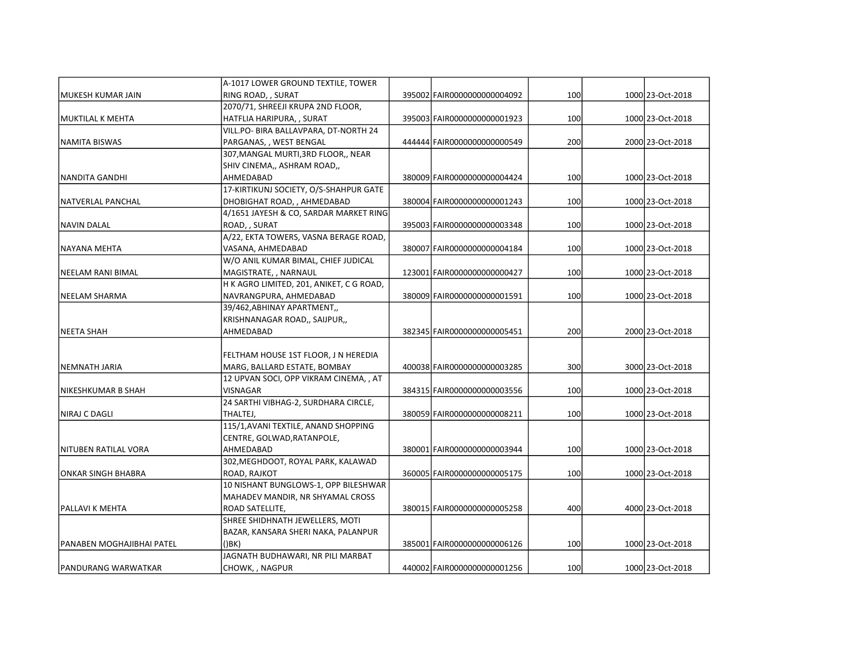|                            | A-1017 LOWER GROUND TEXTILE, TOWER       |                              |     |                  |
|----------------------------|------------------------------------------|------------------------------|-----|------------------|
| MUKESH KUMAR JAIN          | RING ROAD, , SURAT                       | 395002 FAIR0000000000004092  | 100 | 1000 23-Oct-2018 |
|                            | 2070/71, SHREEJI KRUPA 2ND FLOOR,        |                              |     |                  |
| MUKTILAL K MEHTA           | HATFLIA HARIPURA,, SURAT                 | 395003 FAIR00000000000001923 | 100 | 1000 23-Oct-2018 |
|                            | VILL.PO- BIRA BALLAVPARA, DT-NORTH 24    |                              |     |                  |
| NAMITA BISWAS              | PARGANAS, , WEST BENGAL                  | 444444 FAIR0000000000000549  | 200 | 2000 23-Oct-2018 |
|                            | 307, MANGAL MURTI, 3RD FLOOR,, NEAR      |                              |     |                  |
|                            | SHIV CINEMA,, ASHRAM ROAD,,              |                              |     |                  |
| NANDITA GANDHI             | AHMEDABAD                                | 380009 FAIR0000000000004424  | 100 | 1000 23-Oct-2018 |
|                            | 17-KIRTIKUNJ SOCIETY, O/S-SHAHPUR GATE   |                              |     |                  |
| NATVERLAL PANCHAL          | DHOBIGHAT ROAD, , AHMEDABAD              | 380004 FAIR00000000000001243 | 100 | 1000 23-Oct-2018 |
|                            | 4/1651 JAYESH & CO, SARDAR MARKET RING   |                              |     |                  |
| <b>NAVIN DALAL</b>         | ROAD, , SURAT                            | 395003 FAIR0000000000003348  | 100 | 1000 23-Oct-2018 |
|                            | A/22, EKTA TOWERS, VASNA BERAGE ROAD,    |                              |     |                  |
| NAYANA MEHTA               | VASANA, AHMEDABAD                        | 380007 FAIR0000000000004184  | 100 | 1000 23-Oct-2018 |
|                            | W/O ANIL KUMAR BIMAL, CHIEF JUDICAL      |                              |     |                  |
| NEELAM RANI BIMAL          | MAGISTRATE, , NARNAUL                    | 123001 FAIR0000000000000427  | 100 | 1000 23-Oct-2018 |
|                            | H K AGRO LIMITED, 201, ANIKET, C G ROAD, |                              |     |                  |
| NEELAM SHARMA              | NAVRANGPURA, AHMEDABAD                   | 380009 FAIR0000000000001591  | 100 | 1000 23-Oct-2018 |
|                            | 39/462, ABHINAY APARTMENT,               |                              |     |                  |
|                            | KRISHNANAGAR ROAD,, SAIJPUR,,            |                              |     |                  |
| NEETA SHAH                 | AHMEDABAD                                | 382345 FAIR0000000000005451  | 200 | 2000 23-Oct-2018 |
|                            |                                          |                              |     |                  |
|                            | FELTHAM HOUSE 1ST FLOOR, J N HEREDIA     |                              |     |                  |
| INEMNATH JARIA             | MARG, BALLARD ESTATE, BOMBAY             | 400038 FAIR0000000000003285  | 300 | 3000 23-Oct-2018 |
|                            | 12 UPVAN SOCI, OPP VIKRAM CINEMA, , AT   |                              |     |                  |
| NIKESHKUMAR B SHAH         | VISNAGAR                                 | 384315 FAIR0000000000003556  | 100 | 1000 23-Oct-2018 |
|                            | 24 SARTHI VIBHAG-2, SURDHARA CIRCLE,     |                              |     |                  |
| NIRAJ C DAGLI              | THALTEJ,                                 | 380059 FAIR00000000000008211 | 100 | 1000 23-Oct-2018 |
|                            | 115/1, AVANI TEXTILE, ANAND SHOPPING     |                              |     |                  |
|                            | CENTRE, GOLWAD, RATANPOLE,               |                              |     |                  |
| İNITUBEN RATILAL VORA      | AHMEDABAD                                | 380001 FAIR0000000000003944  | 100 | 1000 23-Oct-2018 |
|                            | 302, MEGHDOOT, ROYAL PARK, KALAWAD       |                              |     |                  |
| ONKAR SINGH BHABRA         | ROAD, RAJKOT                             | 360005 FAIR0000000000005175  | 100 | 1000 23-Oct-2018 |
|                            | 10 NISHANT BUNGLOWS-1, OPP BILESHWAR     |                              |     |                  |
|                            | MAHADEV MANDIR, NR SHYAMAL CROSS         |                              |     |                  |
| <b>PALLAVI K MEHTA</b>     | ROAD SATELLITE,                          | 380015 FAIR0000000000005258  | 400 | 4000 23-Oct-2018 |
|                            | SHREE SHIDHNATH JEWELLERS, MOTI          |                              |     |                  |
|                            | BAZAR, KANSARA SHERI NAKA, PALANPUR      |                              |     |                  |
| lPANABEN MOGHAJIBHAI PATEL | $($ ) $BK$ )                             | 385001 FAIR0000000000006126  | 100 | 1000 23-Oct-2018 |
|                            | JAGNATH BUDHAWARI, NR PILI MARBAT        |                              |     |                  |
| IPANDURANG WARWATKAR       | CHOWK, , NAGPUR                          | 440002 FAIR00000000000001256 | 100 | 1000 23-Oct-2018 |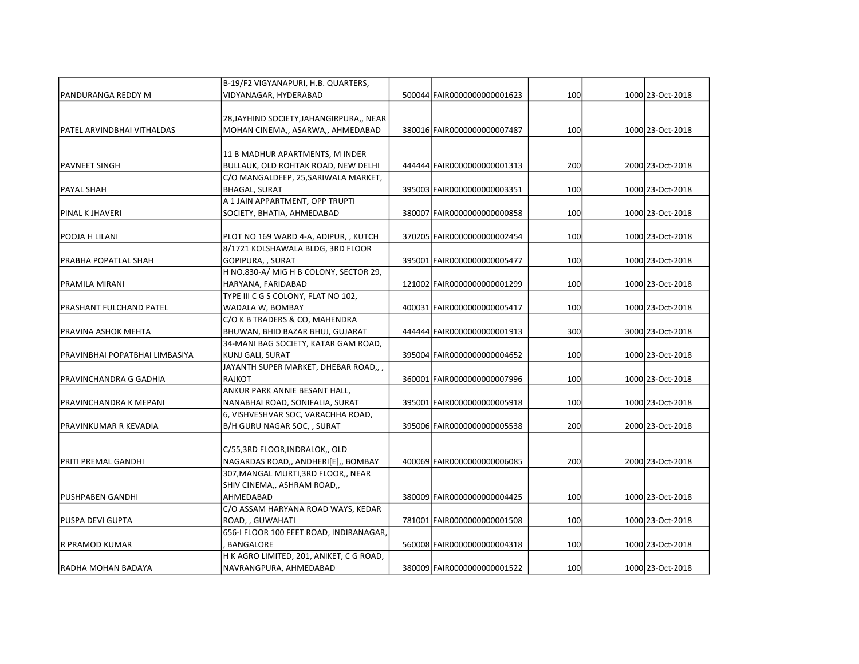|                                | B-19/F2 VIGYANAPURI, H.B. QUARTERS,                                    |                              |     |                  |
|--------------------------------|------------------------------------------------------------------------|------------------------------|-----|------------------|
| PANDURANGA REDDY M             | VIDYANAGAR, HYDERABAD                                                  | 500044 FAIR0000000000001623  | 100 | 1000 23-Oct-2018 |
|                                |                                                                        |                              |     |                  |
|                                | 28, JAYHIND SOCIETY, JAHANGIRPURA,, NEAR                               |                              |     |                  |
| PATEL ARVINDBHAI VITHALDAS     | MOHAN CINEMA,, ASARWA,, AHMEDABAD                                      | 380016 FAIR0000000000007487  | 100 | 1000 23-Oct-2018 |
|                                |                                                                        |                              |     |                  |
| PAVNEET SINGH                  | 11 B MADHUR APARTMENTS, M INDER<br>BULLAUK, OLD ROHTAK ROAD, NEW DELHI | 444444 FAIR0000000000001313  | 200 | 2000 23-Oct-2018 |
|                                | C/O MANGALDEEP, 25, SARIWALA MARKET,                                   |                              |     |                  |
| PAYAL SHAH                     | <b>BHAGAL, SURAT</b>                                                   | 395003 FAIR0000000000003351  | 100 | 1000 23-Oct-2018 |
|                                | A 1 JAIN APPARTMENT, OPP TRUPTI                                        |                              |     |                  |
| <b>PINAL K JHAVERI</b>         | SOCIETY, BHATIA, AHMEDABAD                                             | 380007 FAIR00000000000000858 | 100 | 1000 23-Oct-2018 |
|                                |                                                                        |                              |     |                  |
| POOJA H LILANI                 | PLOT NO 169 WARD 4-A, ADIPUR, , KUTCH                                  | 370205 FAIR0000000000002454  | 100 | 1000 23-Oct-2018 |
|                                | 8/1721 KOLSHAWALA BLDG, 3RD FLOOR                                      |                              |     |                  |
| PRABHA POPATLAL SHAH           | GOPIPURA, , SURAT                                                      | 395001 FAIR0000000000005477  | 100 | 1000 23-Oct-2018 |
|                                | H NO.830-A/ MIG H B COLONY, SECTOR 29,                                 |                              |     |                  |
| PRAMILA MIRANI                 | HARYANA, FARIDABAD                                                     | 121002 FAIR00000000000001299 | 100 | 1000 23-Oct-2018 |
|                                | TYPE III C G S COLONY, FLAT NO 102,                                    |                              |     |                  |
| PRASHANT FULCHAND PATEL        | WADALA W, BOMBAY                                                       | 400031 FAIR0000000000005417  | 100 | 1000 23-Oct-2018 |
|                                | C/O K B TRADERS & CO, MAHENDRA                                         |                              |     |                  |
| PRAVINA ASHOK MEHTA            | BHUWAN, BHID BAZAR BHUJ, GUJARAT                                       | 444444 FAIR00000000000001913 | 300 | 3000 23-Oct-2018 |
|                                | 34-MANI BAG SOCIETY, KATAR GAM ROAD,                                   |                              |     |                  |
| PRAVINBHAI POPATBHAI LIMBASIYA | KUNJ GALI, SURAT                                                       | 395004 FAIR00000000000004652 | 100 | 1000 23-Oct-2018 |
|                                | JAYANTH SUPER MARKET, DHEBAR ROAD,, ,                                  |                              |     |                  |
| PRAVINCHANDRA G GADHIA         | <b>RAJKOT</b>                                                          | 360001 FAIR0000000000007996  | 100 | 1000 23-Oct-2018 |
|                                | ANKUR PARK ANNIE BESANT HALL,                                          |                              |     |                  |
| PRAVINCHANDRA K MEPANI         | NANABHAI ROAD, SONIFALIA, SURAT                                        | 395001 FAIR0000000000005918  | 100 | 1000 23-Oct-2018 |
|                                | 6, VISHVESHVAR SOC, VARACHHA ROAD,                                     |                              |     |                  |
| IPRAVINKUMAR R KEVADIA         | B/H GURU NAGAR SOC, , SURAT                                            | 395006 FAIR00000000000005538 | 200 | 2000 23-Oct-2018 |
|                                |                                                                        |                              |     |                  |
|                                | C/55,3RD FLOOR, INDRALOK,, OLD                                         |                              |     |                  |
| PRITI PREMAL GANDHI            | NAGARDAS ROAD,, ANDHERI[E],, BOMBAY                                    | 400069 FAIR0000000000006085  | 200 | 2000 23-Oct-2018 |
|                                | 307, MANGAL MURTI, 3RD FLOOR,, NEAR                                    |                              |     |                  |
|                                | SHIV CINEMA,, ASHRAM ROAD,,                                            |                              |     |                  |
| PUSHPABEN GANDHI               | AHMEDABAD                                                              | 380009 FAIR00000000000004425 | 100 | 1000 23-Oct-2018 |
|                                | C/O ASSAM HARYANA ROAD WAYS, KEDAR                                     |                              |     |                  |
| PUSPA DEVI GUPTA               | ROAD, , GUWAHATI                                                       | 781001 FAIR0000000000001508  | 100 | 1000 23-Oct-2018 |
|                                | 656-I FLOOR 100 FEET ROAD, INDIRANAGAR,                                |                              |     |                  |
| R PRAMOD KUMAR                 | BANGALORE                                                              | 560008 FAIR0000000000004318  | 100 | 1000 23-Oct-2018 |
|                                | H K AGRO LIMITED, 201, ANIKET, C G ROAD,                               |                              |     |                  |
| IRADHA MOHAN BADAYA            | NAVRANGPURA, AHMEDABAD                                                 | 380009 FAIR0000000000001522  | 100 | 1000 23-Oct-2018 |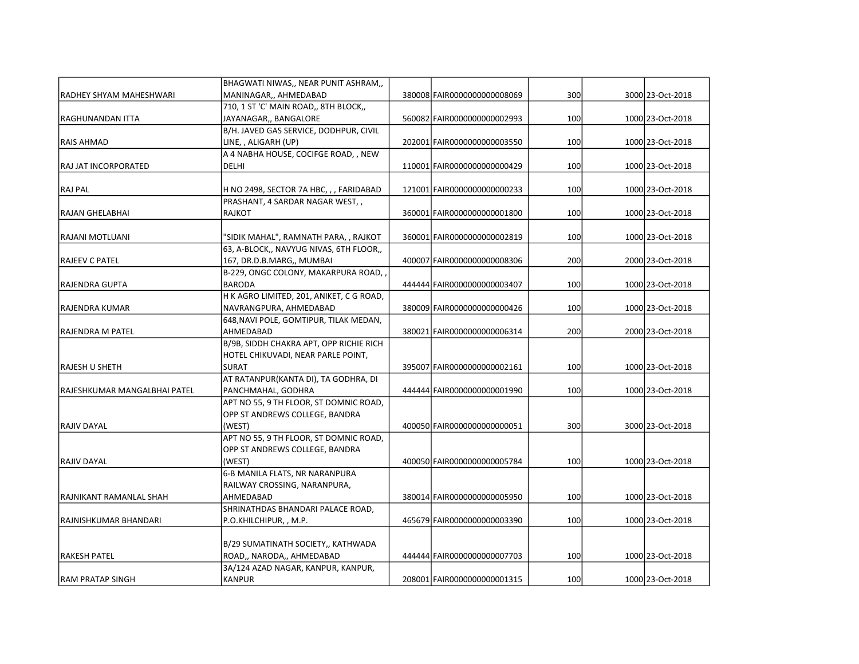|                              | BHAGWATI NIWAS,, NEAR PUNIT ASHRAM,,     |                              |     |                  |
|------------------------------|------------------------------------------|------------------------------|-----|------------------|
| IRADHEY SHYAM MAHESHWARI     | MANINAGAR,, AHMEDABAD                    | 380008 FAIR0000000000008069  | 300 | 3000 23-Oct-2018 |
|                              | 710, 1 ST 'C' MAIN ROAD,, 8TH BLOCK,,    |                              |     |                  |
| RAGHUNANDAN ITTA             | JAYANAGAR,, BANGALORE                    | 560082 FAIR0000000000002993  | 100 | 1000 23-Oct-2018 |
|                              | B/H. JAVED GAS SERVICE, DODHPUR, CIVIL   |                              |     |                  |
| RAIS AHMAD                   | LINE, , ALIGARH (UP)                     | 202001 FAIR0000000000003550  | 100 | 1000 23-Oct-2018 |
|                              | A 4 NABHA HOUSE, COCIFGE ROAD, , NEW     |                              |     |                  |
| RAJ JAT INCORPORATED         | DELHI                                    | 110001 FAIR0000000000000429  | 100 | 1000 23-Oct-2018 |
| RAJ PAL                      | H NO 2498, SECTOR 7A HBC, , , FARIDABAD  | 121001 FAIR0000000000000233  | 100 | 1000 23-Oct-2018 |
|                              | PRASHANT, 4 SARDAR NAGAR WEST,,          |                              |     |                  |
| RAJAN GHELABHAI              | <b>RAJKOT</b>                            | 360001 FAIR00000000000001800 | 100 | 1000 23-Oct-2018 |
| RAJANI MOTLUANI              | "SIDIK MAHAL", RAMNATH PARA, , RAJKOT    | 360001 FAIR0000000000002819  | 100 | 1000 23-Oct-2018 |
|                              | 63, A-BLOCK,, NAVYUG NIVAS, 6TH FLOOR,,  |                              |     |                  |
| RAJEEV C PATEL               | 167, DR.D.B.MARG,, MUMBAI                | 400007 FAIR0000000000008306  | 200 | 2000 23-Oct-2018 |
|                              | B-229, ONGC COLONY, MAKARPURA ROAD,      |                              |     |                  |
| RAJENDRA GUPTA               | <b>BARODA</b>                            | 444444 FAIR0000000000003407  | 100 | 1000 23-Oct-2018 |
|                              | H K AGRO LIMITED, 201, ANIKET, C G ROAD, |                              |     |                  |
| RAJENDRA KUMAR               | NAVRANGPURA, AHMEDABAD                   | 380009 FAIR00000000000000426 | 100 | 1000 23-Oct-2018 |
|                              | 648, NAVI POLE, GOMTIPUR, TILAK MEDAN,   |                              |     |                  |
| lRAJENDRA M PATEL            | AHMEDABAD                                | 380021 FAIR0000000000006314  | 200 | 2000 23-Oct-2018 |
|                              | B/9B, SIDDH CHAKRA APT, OPP RICHIE RICH  |                              |     |                  |
|                              | HOTEL CHIKUVADI, NEAR PARLE POINT,       |                              |     |                  |
| RAJESH U SHETH               | <b>SURAT</b>                             | 395007 FAIR0000000000002161  | 100 | 1000 23-Oct-2018 |
|                              | AT RATANPUR(KANTA DI), TA GODHRA, DI     |                              |     |                  |
| RAJESHKUMAR MANGALBHAI PATEL | PANCHMAHAL, GODHRA                       | 444444 FAIR0000000000001990  | 100 | 1000 23-Oct-2018 |
|                              | APT NO 55, 9 TH FLOOR, ST DOMNIC ROAD,   |                              |     |                  |
|                              | OPP ST ANDREWS COLLEGE, BANDRA           |                              |     |                  |
| İRAJIV DAYAL                 | (WEST)                                   | 400050 FAIR0000000000000051  | 300 | 3000 23-Oct-2018 |
|                              | APT NO 55, 9 TH FLOOR, ST DOMNIC ROAD,   |                              |     |                  |
|                              | OPP ST ANDREWS COLLEGE, BANDRA           |                              |     |                  |
| <b>RAJIV DAYAL</b>           | (WEST)                                   | 400050 FAIR0000000000005784  | 100 | 1000 23-Oct-2018 |
|                              | 6-B MANILA FLATS, NR NARANPURA           |                              |     |                  |
|                              | RAILWAY CROSSING, NARANPURA,             |                              |     |                  |
| RAJNIKANT RAMANLAL SHAH      | AHMEDABAD                                | 380014 FAIR0000000000005950  | 100 | 1000 23-Oct-2018 |
|                              | SHRINATHDAS BHANDARI PALACE ROAD,        |                              |     |                  |
| RAJNISHKUMAR BHANDARI        | P.O.KHILCHIPUR, , M.P.                   | 465679 FAIR0000000000003390  | 100 | 1000 23-Oct-2018 |
|                              |                                          |                              |     |                  |
|                              | B/29 SUMATINATH SOCIETY,, KATHWADA       |                              |     |                  |
| RAKESH PATEL                 | ROAD,, NARODA,, AHMEDABAD                | 444444 FAIR0000000000007703  | 100 | 1000 23-Oct-2018 |
|                              | 3A/124 AZAD NAGAR, KANPUR, KANPUR,       |                              |     |                  |
| <b>RAM PRATAP SINGH</b>      | <b>KANPUR</b>                            | 208001 FAIR00000000000001315 | 100 | 1000 23-Oct-2018 |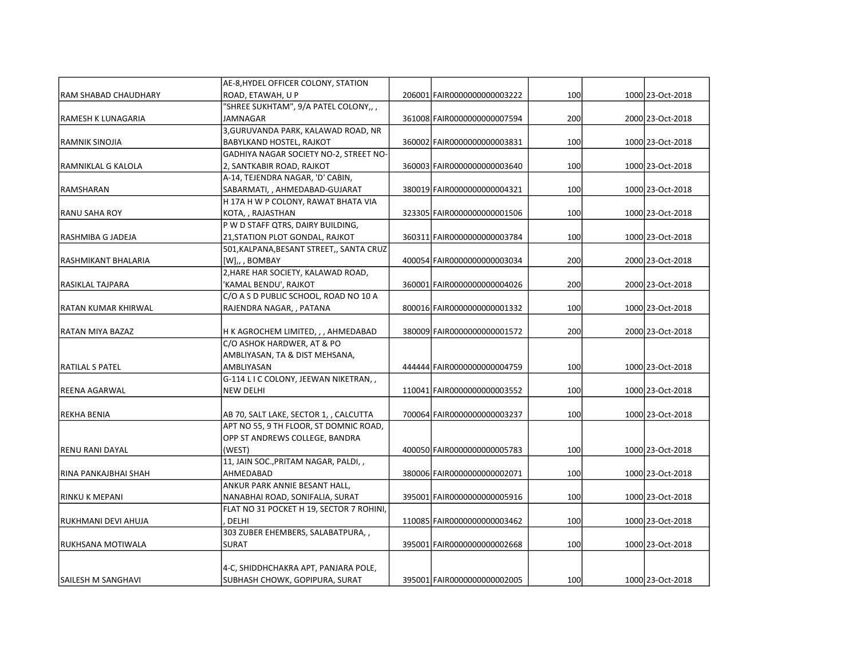|                             | AE-8, HYDEL OFFICER COLONY, STATION      |                              |     |                  |
|-----------------------------|------------------------------------------|------------------------------|-----|------------------|
| <b>RAM SHABAD CHAUDHARY</b> | ROAD, ETAWAH, U P                        | 206001 FAIR0000000000003222  | 100 | 1000 23-Oct-2018 |
|                             | "SHREE SUKHTAM", 9/A PATEL COLONY,,,     |                              |     |                  |
| RAMESH K LUNAGARIA          | JAMNAGAR                                 | 361008 FAIR0000000000007594  | 200 | 2000 23-Oct-2018 |
|                             | 3, GURUVANDA PARK, KALAWAD ROAD, NR      |                              |     |                  |
| <b>RAMNIK SINOJIA</b>       | BABYLKAND HOSTEL, RAJKOT                 | 360002 FAIR0000000000003831  | 100 | 1000 23-Oct-2018 |
|                             | GADHIYA NAGAR SOCIETY NO-2, STREET NO-   |                              |     |                  |
| RAMNIKLAL G KALOLA          | 2, SANTKABIR ROAD, RAJKOT                | 360003 FAIR0000000000003640  | 100 | 1000 23-Oct-2018 |
|                             | A-14, TEJENDRA NAGAR, 'D' CABIN,         |                              |     |                  |
| RAMSHARAN                   | SABARMATI, , AHMEDABAD-GUJARAT           | 380019 FAIR0000000000004321  | 100 | 1000 23-Oct-2018 |
|                             | H 17A H W P COLONY, RAWAT BHATA VIA      |                              |     |                  |
| <b>RANU SAHA ROY</b>        | KOTA, , RAJASTHAN                        | 323305 FAIR0000000000001506  | 100 | 1000 23-Oct-2018 |
|                             | P W D STAFF QTRS, DAIRY BUILDING,        |                              |     |                  |
| RASHMIBA G JADEJA           | 21, STATION PLOT GONDAL, RAJKOT          | 360311 FAIR0000000000003784  | 100 | 1000 23-Oct-2018 |
|                             | 501, KALPANA, BESANT STREET,, SANTA CRUZ |                              |     |                  |
| RASHMIKANT BHALARIA         | [W],, BOMBAY                             | 400054 FAIR00000000000003034 | 200 | 2000 23-Oct-2018 |
|                             | 2, HARE HAR SOCIETY, KALAWAD ROAD,       |                              |     |                  |
| <b>RASIKLAL TAJPARA</b>     | 'KAMAL BENDU', RAJKOT                    | 360001 FAIR0000000000004026  | 200 | 2000 23-Oct-2018 |
|                             | C/O A S D PUBLIC SCHOOL, ROAD NO 10 A    |                              |     |                  |
| RATAN KUMAR KHIRWAL         | RAJENDRA NAGAR, , PATANA                 | 800016 FAIR00000000000001332 | 100 | 1000 23-Oct-2018 |
|                             |                                          |                              |     |                  |
| <b>RATAN MIYA BAZAZ</b>     | H K AGROCHEM LIMITED, , , AHMEDABAD      | 380009 FAIR00000000000001572 | 200 | 2000 23-Oct-2018 |
|                             | C/O ASHOK HARDWER, AT & PO               |                              |     |                  |
|                             | AMBLIYASAN, TA & DIST MEHSANA,           |                              |     |                  |
| <b>RATILAL S PATEL</b>      | AMBLIYASAN                               | 444444 FAIR0000000000004759  | 100 | 1000 23-Oct-2018 |
|                             | G-114 L I C COLONY, JEEWAN NIKETRAN,,    |                              |     |                  |
| <b>REENA AGARWAL</b>        | <b>NEW DELHI</b>                         | 110041 FAIR0000000000003552  | 100 | 1000 23-Oct-2018 |
|                             |                                          |                              |     |                  |
| <b>REKHA BENIA</b>          | AB 70, SALT LAKE, SECTOR 1, , CALCUTTA   | 700064 FAIR0000000000003237  | 100 | 1000 23-Oct-2018 |
|                             | APT NO 55, 9 TH FLOOR, ST DOMNIC ROAD,   |                              |     |                  |
|                             | OPP ST ANDREWS COLLEGE, BANDRA           |                              |     |                  |
| <b>RENU RANI DAYAL</b>      | (WEST)                                   | 400050 FAIR0000000000005783  | 100 | 1000 23-Oct-2018 |
|                             | 11, JAIN SOC., PRITAM NAGAR, PALDI, ,    |                              |     |                  |
| RINA PANKAJBHAI SHAH        | AHMEDABAD                                | 380006 FAIR0000000000002071  | 100 | 1000 23-Oct-2018 |
|                             | ANKUR PARK ANNIE BESANT HALL,            |                              |     |                  |
| <b>RINKU K MEPANI</b>       | NANABHAI ROAD, SONIFALIA, SURAT          | 395001 FAIR0000000000005916  | 100 | 1000 23-Oct-2018 |
|                             | FLAT NO 31 POCKET H 19, SECTOR 7 ROHINI, |                              |     |                  |
| RUKHMANI DEVI AHUJA         | DELHI                                    | 110085 FAIR0000000000003462  | 100 | 1000 23-Oct-2018 |
|                             | 303 ZUBER EHEMBERS, SALABATPURA, ,       |                              |     |                  |
| lrukhsana motiwala          | <b>SURAT</b>                             | 395001 FAIR0000000000002668  | 100 | 1000 23-Oct-2018 |
|                             |                                          |                              |     |                  |
|                             | 4-C, SHIDDHCHAKRA APT, PANJARA POLE,     |                              |     |                  |
| ISAILESH M SANGHAVI         | SUBHASH CHOWK, GOPIPURA, SURAT           | 395001 FAIR0000000000002005  | 100 | 1000 23-Oct-2018 |
|                             |                                          |                              |     |                  |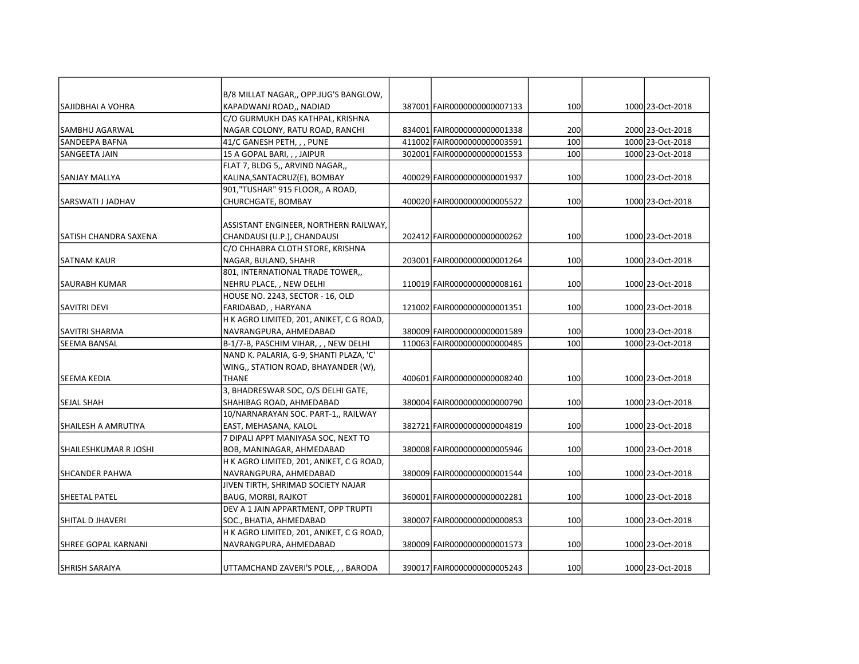|                       | B/8 MILLAT NAGAR,, OPP.JUG'S BANGLOW,                              |                              |     |                  |
|-----------------------|--------------------------------------------------------------------|------------------------------|-----|------------------|
| ISAJIDBHAI A VOHRA    | KAPADWANJ ROAD,, NADIAD                                            | 387001 FAIR0000000000007133  | 100 | 1000 23-Oct-2018 |
|                       | C/O GURMUKH DAS KATHPAL, KRISHNA                                   |                              |     |                  |
| <b>SAMBHU AGARWAL</b> | NAGAR COLONY, RATU ROAD, RANCHI                                    | 834001 FAIR0000000000001338  | 200 | 2000 23-Oct-2018 |
| SANDEEPA BAFNA        | 41/C GANESH PETH, , , PUNE                                         | 411002 FAIR0000000000003591  | 100 | 1000 23-Oct-2018 |
| SANGEETA JAIN         | 15 A GOPAL BARI, , , JAIPUR                                        | 302001 FAIR0000000000001553  | 100 | 1000 23-Oct-2018 |
|                       | FLAT 7, BLDG 5,, ARVIND NAGAR,,                                    |                              |     |                  |
| SANJAY MALLYA         | KALINA, SANTACRUZ(E), BOMBAY                                       | 400029 FAIR00000000000001937 | 100 | 1000 23-Oct-2018 |
|                       | 901,"TUSHAR" 915 FLOOR,, A ROAD,                                   |                              |     |                  |
| SARSWATI J JADHAV     | CHURCHGATE, BOMBAY                                                 | 400020 FAIR0000000000005522  | 100 | 1000 23-Oct-2018 |
|                       | ASSISTANT ENGINEER, NORTHERN RAILWAY,                              |                              |     |                  |
| SATISH CHANDRA SAXENA | CHANDAUSI (U.P.), CHANDAUSI                                        | 202412 FAIR0000000000000262  | 100 | 1000 23-Oct-2018 |
|                       | C/O CHHABRA CLOTH STORE, KRISHNA                                   |                              |     |                  |
| SATNAM KAUR           | NAGAR, BULAND, SHAHR                                               | 203001 FAIR00000000000001264 | 100 | 1000 23-Oct-2018 |
|                       | 801, INTERNATIONAL TRADE TOWER,,                                   |                              |     |                  |
| lsaurabh kumar        | NEHRU PLACE, , NEW DELHI                                           | 110019 FAIR00000000000008161 | 100 | 1000 23-Oct-2018 |
|                       | HOUSE NO. 2243, SECTOR - 16, OLD                                   |                              |     |                  |
| SAVITRI DEVI          | FARIDABAD, , HARYANA                                               | 121002 FAIR0000000000001351  | 100 | 1000 23-Oct-2018 |
|                       |                                                                    |                              |     |                  |
| <b>SAVITRI SHARMA</b> | H K AGRO LIMITED, 201, ANIKET, C G ROAD,<br>NAVRANGPURA, AHMEDABAD | 380009 FAIR00000000000001589 | 100 | 1000 23-Oct-2018 |
| <b>SEEMA BANSAL</b>   | B-1/7-B, PASCHIM VIHAR, , , NEW DELHI                              | 110063 FAIR0000000000000485  | 100 | 1000 23-Oct-2018 |
|                       |                                                                    |                              |     |                  |
|                       | NAND K. PALARIA, G-9, SHANTI PLAZA, 'C'                            |                              |     |                  |
|                       | WING,, STATION ROAD, BHAYANDER (W),                                |                              |     |                  |
| SEEMA KEDIA           | <b>THANE</b>                                                       | 400601 FAIR0000000000008240  | 100 | 1000 23-Oct-2018 |
|                       | 3, BHADRESWAR SOC, O/S DELHI GATE,                                 |                              |     |                  |
| SEJAL SHAH            | SHAHIBAG ROAD, AHMEDABAD                                           | 380004 FAIR0000000000000790  | 100 | 1000 23-Oct-2018 |
|                       | 10/NARNARAYAN SOC. PART-1,, RAILWAY                                |                              |     |                  |
| ISHAILESH A AMRUTIYA  | EAST, MEHASANA, KALOL                                              | 382721 FAIR0000000000004819  | 100 | 1000 23-Oct-2018 |
|                       | 7 DIPALI APPT MANIYASA SOC, NEXT TO                                |                              |     |                  |
| SHAILESHKUMAR R JOSHI | BOB, MANINAGAR, AHMEDABAD                                          | 380008 FAIR0000000000005946  | 100 | 1000 23-Oct-2018 |
|                       | H K AGRO LIMITED, 201, ANIKET, C G ROAD,                           |                              |     |                  |
| SHCANDER PAHWA        | NAVRANGPURA, AHMEDABAD                                             | 380009 FAIR00000000000001544 | 100 | 1000 23-Oct-2018 |
|                       | JIVEN TIRTH, SHRIMAD SOCIETY NAJAR                                 |                              |     |                  |
| lSHEETAL PATEL        | BAUG, MORBI, RAJKOT                                                | 360001 FAIR0000000000002281  | 100 | 1000 23-Oct-2018 |
|                       | DEV A 1 JAIN APPARTMENT, OPP TRUPTI                                |                              |     |                  |
| SHITAL D JHAVERI      | SOC., BHATIA, AHMEDABAD                                            | 380007 FAIR0000000000000853  | 100 | 1000 23-Oct-2018 |
|                       | H K AGRO LIMITED, 201, ANIKET, C G ROAD,                           |                              |     |                  |
| SHREE GOPAL KARNANI   | NAVRANGPURA, AHMEDABAD                                             | 380009 FAIR00000000000001573 | 100 | 1000 23-Oct-2018 |
|                       |                                                                    |                              |     |                  |
| ISHRISH SARAIYA       | UTTAMCHAND ZAVERI'S POLE, , , BARODA                               | 390017 FAIR0000000000005243  | 100 | 1000 23-Oct-2018 |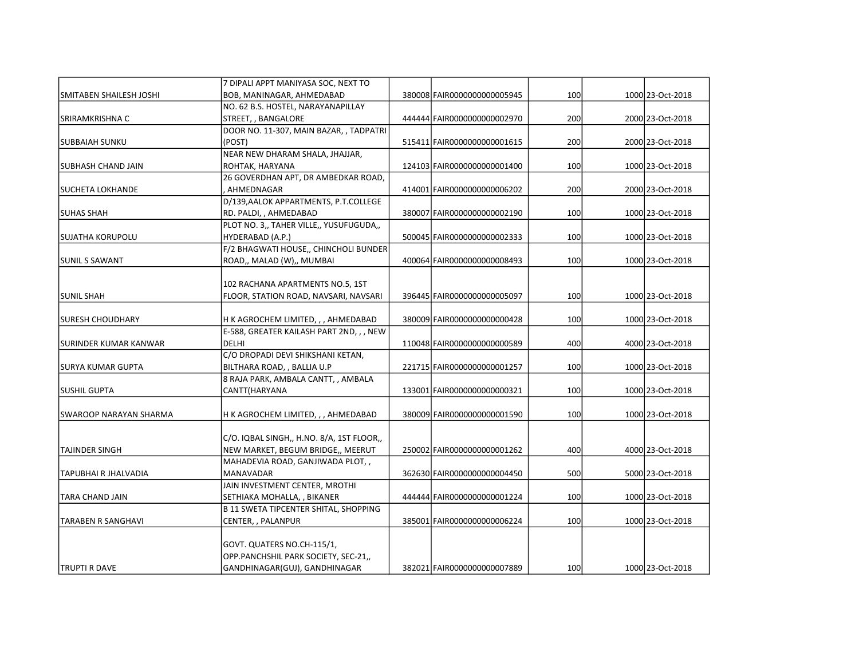|                              | 7 DIPALI APPT MANIYASA SOC, NEXT TO                             |                              | 100 |                  |
|------------------------------|-----------------------------------------------------------------|------------------------------|-----|------------------|
| SMITABEN SHAILESH JOSHI      | BOB, MANINAGAR, AHMEDABAD<br>NO. 62 B.S. HOSTEL, NARAYANAPILLAY | 380008 FAIR0000000000005945  |     | 1000 23-Oct-2018 |
| SRIRAMKRISHNA C              | STREET, , BANGALORE                                             | 444444 FAIR0000000000002970  | 200 | 2000 23-Oct-2018 |
|                              | DOOR NO. 11-307, MAIN BAZAR, , TADPATRI                         |                              |     |                  |
|                              | (POST)                                                          | 515411 FAIR0000000000001615  | 200 | 2000 23-Oct-2018 |
| <b>SUBBAIAH SUNKU</b>        |                                                                 |                              |     |                  |
|                              | NEAR NEW DHARAM SHALA, JHAJJAR,                                 |                              | 100 |                  |
| <b>SUBHASH CHAND JAIN</b>    | ROHTAK, HARYANA                                                 | 124103 FAIR0000000000001400  |     | 1000 23-Oct-2018 |
|                              | 26 GOVERDHAN APT, DR AMBEDKAR ROAD,                             |                              |     |                  |
| <b>SUCHETA LOKHANDE</b>      | AHMEDNAGAR                                                      | 414001 FAIR0000000000006202  | 200 | 2000 23-Oct-2018 |
|                              | D/139, AALOK APPARTMENTS, P.T.COLLEGE                           |                              |     |                  |
| <b>SUHAS SHAH</b>            | RD. PALDI, , AHMEDABAD                                          | 380007 FAIR0000000000002190  | 100 | 1000 23-Oct-2018 |
|                              | PLOT NO. 3,, TAHER VILLE,, YUSUFUGUDA,,                         |                              |     |                  |
| <b>SUJATHA KORUPOLU</b>      | HYDERABAD (A.P.)                                                | 500045 FAIR0000000000002333  | 100 | 1000 23-Oct-2018 |
|                              | F/2 BHAGWATI HOUSE,, CHINCHOLI BUNDER                           |                              |     |                  |
| <b>SUNIL S SAWANT</b>        | ROAD,, MALAD (W),, MUMBAI                                       | 400064 FAIR0000000000008493  | 100 | 1000 23-Oct-2018 |
|                              |                                                                 |                              |     |                  |
|                              | 102 RACHANA APARTMENTS NO.5, 1ST                                |                              |     |                  |
| <b>SUNIL SHAH</b>            | FLOOR, STATION ROAD, NAVSARI, NAVSARI                           | 396445 FAIR0000000000005097  | 100 | 1000 23-Oct-2018 |
| <b>SURESH CHOUDHARY</b>      | H K AGROCHEM LIMITED, , , AHMEDABAD                             | 380009 FAIR0000000000000428  | 100 | 1000 23-Oct-2018 |
|                              | E-588, GREATER KAILASH PART 2ND, , , NEW                        |                              |     |                  |
| <b>SURINDER KUMAR KANWAR</b> | <b>DELHI</b>                                                    | 110048 FAIR0000000000000589  | 400 | 4000 23-Oct-2018 |
|                              | C/O DROPADI DEVI SHIKSHANI KETAN,                               |                              |     |                  |
| <b>SURYA KUMAR GUPTA</b>     | BILTHARA ROAD, , BALLIA U.P                                     | 221715 FAIR0000000000001257  | 100 | 1000 23-Oct-2018 |
|                              | 8 RAJA PARK, AMBALA CANTT, , AMBALA                             |                              |     |                  |
| <b>SUSHIL GUPTA</b>          | CANTT(HARYANA                                                   | 133001 FAIR0000000000000321  | 100 | 1000 23-Oct-2018 |
|                              |                                                                 |                              |     |                  |
| SWAROOP NARAYAN SHARMA       | H K AGROCHEM LIMITED, , , AHMEDABAD                             | 380009 FAIR0000000000001590  | 100 | 1000 23-Oct-2018 |
|                              |                                                                 |                              |     |                  |
|                              | C/O. IQBAL SINGH,, H.NO. 8/A, 1ST FLOOR,,                       |                              |     |                  |
| <b>TAJINDER SINGH</b>        | NEW MARKET, BEGUM BRIDGE,, MEERUT                               | 250002 FAIR00000000000001262 | 400 | 4000 23-Oct-2018 |
|                              | MAHADEVIA ROAD, GANJIWADA PLOT,,                                |                              |     |                  |
| TAPUBHAI R JHALVADIA         | <b>MANAVADAR</b>                                                | 362630 FAIR0000000000004450  | 500 | 5000 23-Oct-2018 |
|                              | JAIN INVESTMENT CENTER, MROTHI                                  |                              |     |                  |
| <b>TARA CHAND JAIN</b>       | SETHIAKA MOHALLA, , BIKANER                                     | 444444 FAIR0000000000001224  | 100 | 1000 23-Oct-2018 |
|                              | <b>B 11 SWETA TIPCENTER SHITAL, SHOPPING</b>                    |                              |     |                  |
| <b>TARABEN R SANGHAVI</b>    | CENTER, , PALANPUR                                              | 385001 FAIR0000000000006224  | 100 | 1000 23-Oct-2018 |
|                              |                                                                 |                              |     |                  |
|                              | GOVT. QUATERS NO.CH-115/1,                                      |                              |     |                  |
|                              | OPP.PANCHSHIL PARK SOCIETY, SEC-21,,                            |                              |     |                  |
| <b>TRUPTI R DAVE</b>         | GANDHINAGAR(GUJ), GANDHINAGAR                                   | 382021 FAIR0000000000007889  | 100 | 1000 23-Oct-2018 |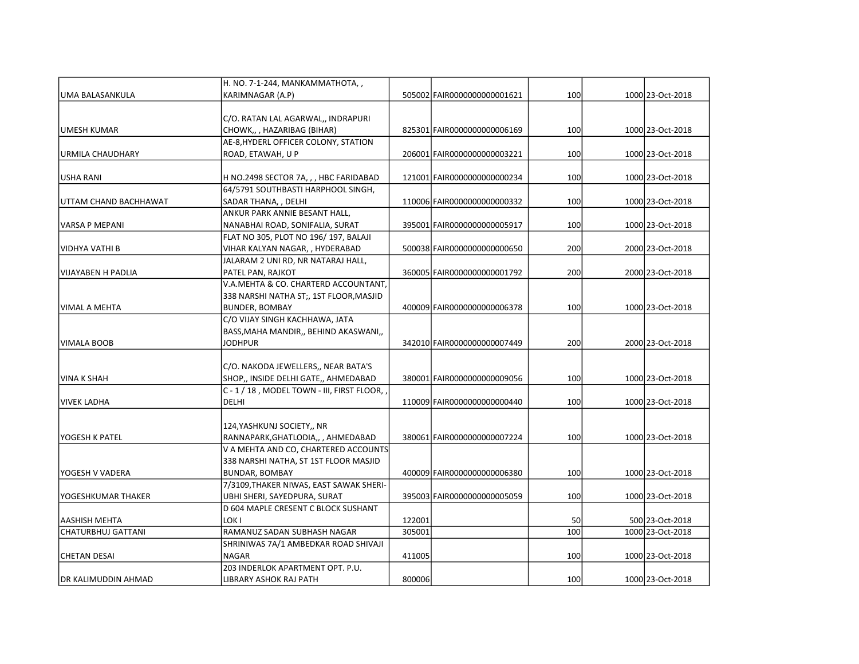|                       | H. NO. 7-1-244, MANKAMMATHOTA, ,                                    |        |                             |     |                  |
|-----------------------|---------------------------------------------------------------------|--------|-----------------------------|-----|------------------|
| UMA BALASANKULA       | KARIMNAGAR (A.P)                                                    |        | 505002 FAIR0000000000001621 | 100 | 1000 23-Oct-2018 |
|                       |                                                                     |        |                             |     |                  |
|                       | C/O. RATAN LAL AGARWAL,, INDRAPURI                                  |        |                             |     |                  |
| UMESH KUMAR           | CHOWK,,, HAZARIBAG (BIHAR)                                          |        | 825301 FAIR0000000000006169 | 100 | 1000 23-Oct-2018 |
|                       | AE-8, HYDERL OFFICER COLONY, STATION                                |        |                             |     |                  |
| URMILA CHAUDHARY      | ROAD, ETAWAH, U P                                                   |        | 206001 FAIR0000000000003221 | 100 | 1000 23-Oct-2018 |
| USHA RANI             | H NO.2498 SECTOR 7A, , , HBC FARIDABAD                              |        | 121001 FAIR0000000000000234 | 100 | 1000 23-Oct-2018 |
|                       | 64/5791 SOUTHBASTI HARPHOOL SINGH,                                  |        |                             |     |                  |
| UTTAM CHAND BACHHAWAT | SADAR THANA, , DELHI                                                |        | 110006 FAIR0000000000000332 | 100 | 1000 23-Oct-2018 |
|                       | ANKUR PARK ANNIE BESANT HALL,                                       |        |                             |     |                  |
| VARSA P MEPANI        | NANABHAI ROAD, SONIFALIA, SURAT                                     |        | 395001 FAIR0000000000005917 | 100 | 1000 23-Oct-2018 |
|                       | FLAT NO 305, PLOT NO 196/197, BALAJI                                |        |                             |     |                  |
| IVIDHYA VATHI B       | VIHAR KALYAN NAGAR, , HYDERABAD                                     |        | 500038 FAIR0000000000000650 | 200 | 2000 23-Oct-2018 |
|                       | JALARAM 2 UNI RD, NR NATARAJ HALL,                                  |        |                             |     |                  |
| VIJAYABEN H PADLIA    | PATEL PAN, RAJKOT                                                   |        | 360005 FAIR0000000000001792 | 200 | 2000 23-Oct-2018 |
|                       | V.A.MEHTA & CO. CHARTERD ACCOUNTANT,                                |        |                             |     |                  |
|                       | 338 NARSHI NATHA ST;, 1ST FLOOR, MASJID                             |        |                             |     |                  |
| lVIMAL A MEHTA        | <b>BUNDER, BOMBAY</b>                                               |        | 400009 FAIR0000000000006378 | 100 | 1000 23-Oct-2018 |
|                       | C/O VIJAY SINGH KACHHAWA, JATA                                      |        |                             |     |                  |
|                       | BASS, MAHA MANDIR,, BEHIND AKASWANI,,                               |        |                             |     |                  |
| IVIMALA BOOB          | JODHPUR                                                             |        | 342010 FAIR0000000000007449 | 200 | 2000 23-Oct-2018 |
|                       | C/O. NAKODA JEWELLERS,, NEAR BATA'S                                 |        |                             |     |                  |
| VINA K SHAH           | SHOP,, INSIDE DELHI GATE,, AHMEDABAD                                |        | 380001 FAIR0000000000009056 | 100 | 1000 23-Oct-2018 |
|                       | C - 1 / 18, MODEL TOWN - III, FIRST FLOOR,                          |        |                             |     |                  |
| VIVEK LADHA           | DELHI                                                               |        | 110009 FAIR0000000000000440 | 100 | 1000 23-Oct-2018 |
|                       |                                                                     |        |                             |     |                  |
|                       | 124, YASHKUNJ SOCIETY,, NR                                          |        |                             |     |                  |
| lYOGESH K PATEL       | RANNAPARK, GHATLODIA,, , AHMEDABAD                                  |        | 380061 FAIR0000000000007224 | 100 | 1000 23-Oct-2018 |
|                       | V A MEHTA AND CO, CHARTERED ACCOUNTS                                |        |                             |     |                  |
|                       | 338 NARSHI NATHA, ST 1ST FLOOR MASJID                               |        |                             |     |                  |
| YOGESH V VADERA       | <b>BUNDAR, BOMBAY</b>                                               |        | 400009 FAIR0000000000006380 | 100 | 1000 23-Oct-2018 |
|                       | 7/3109, THAKER NIWAS, EAST SAWAK SHERI-                             |        |                             |     |                  |
| YOGESHKUMAR THAKER    | UBHI SHERI, SAYEDPURA, SURAT                                        |        | 395003 FAIR0000000000005059 | 100 | 1000 23-Oct-2018 |
|                       | D 604 MAPLE CRESENT C BLOCK SUSHANT<br>LOK I                        | 122001 |                             | 50  | 500 23-Oct-2018  |
| AASHISH MEHTA         |                                                                     | 305001 |                             | 100 | 1000 23-Oct-2018 |
| CHATURBHUJ GATTANI    | RAMANUZ SADAN SUBHASH NAGAR<br>SHRINIWAS 7A/1 AMBEDKAR ROAD SHIVAJI |        |                             |     |                  |
| CHETAN DESAI          | <b>NAGAR</b>                                                        | 411005 |                             | 100 | 1000 23-Oct-2018 |
|                       | 203 INDERLOK APARTMENT OPT. P.U.                                    |        |                             |     |                  |
| IDR KALIMUDDIN AHMAD  | LIBRARY ASHOK RAJ PATH                                              | 800006 |                             | 100 | 1000 23-Oct-2018 |
|                       |                                                                     |        |                             |     |                  |